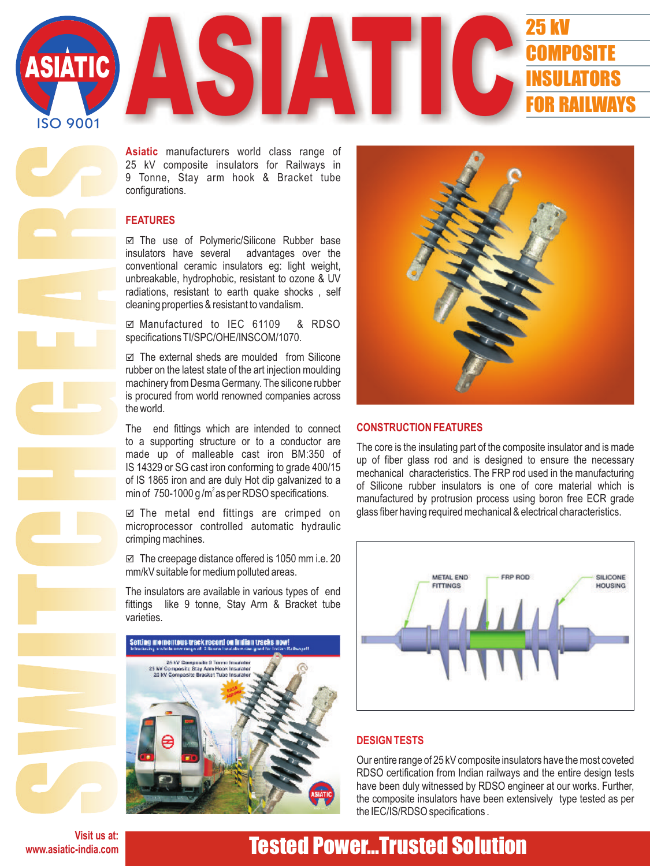

**Asiatic** manufacturers world class range of 25 kV composite insulators for Railways in 9 Tonne, Stay arm hook & Bracket tube configurations.

#### **FEATURES**

þ The use of Polymeric/Silicone Rubber base insulators have several advantages over the conventional ceramic insulators eg: light weight, unbreakable, hydrophobic, resistant to ozone & UV radiations, resistant to earth quake shocks , self cleaning properties & resistant to vandalism.

þ Manufactured to IEC 61109 & RDSO specifications TI/SPC/OHE/INSCOM/1070.

 $\boxtimes$  The external sheds are moulded from Silicone rubber on the latest state of the art injection moulding machinery from Desma Germany. The silicone rubber is procured from world renowned companies across the world.

The end fittings which are intended to connect to a supporting structure or to a conductor are made up of malleable cast iron BM:350 of IS 14329 or SG cast iron conforming to grade 400/15 of IS 1865 iron and are duly Hot dip galvanized to a min of 750-1000 g/m<sup>2</sup> as per RDSO specifications.

 $\boxtimes$  The metal end fittings are crimped on microprocessor controlled automatic hydraulic crimping machines.

 $\boxtimes$  The creepage distance offered is 1050 mm i.e. 20 mm/kV suitable for medium polluted areas.

The insulators are available in various types of end fittings like 9 tonne, Stay Arm & Bracket tube varieties.





#### **CONSTRUCTION FEATURES**

The core is the insulating part of the composite insulator and is made up of fiber glass rod and is designed to ensure the necessary mechanical characteristics. The FRP rod used in the manufacturing of Silicone rubber insulators is one of core material which is manufactured by protrusion process using boron free ECR grade glass fiber having required mechanical & electrical characteristics.



#### **DESIGN TESTS**

Our entire range of 25 kV composite insulators have the most coveted RDSO certification from Indian railways and the entire design tests have been duly witnessed by RDSO engineer at our works. Further, the composite insulators have been extensively type tested as per the IEC/IS/RDSO specifications .

**Visit us at: www.asiatic-india.com**

## Tested Power...Trusted Solution